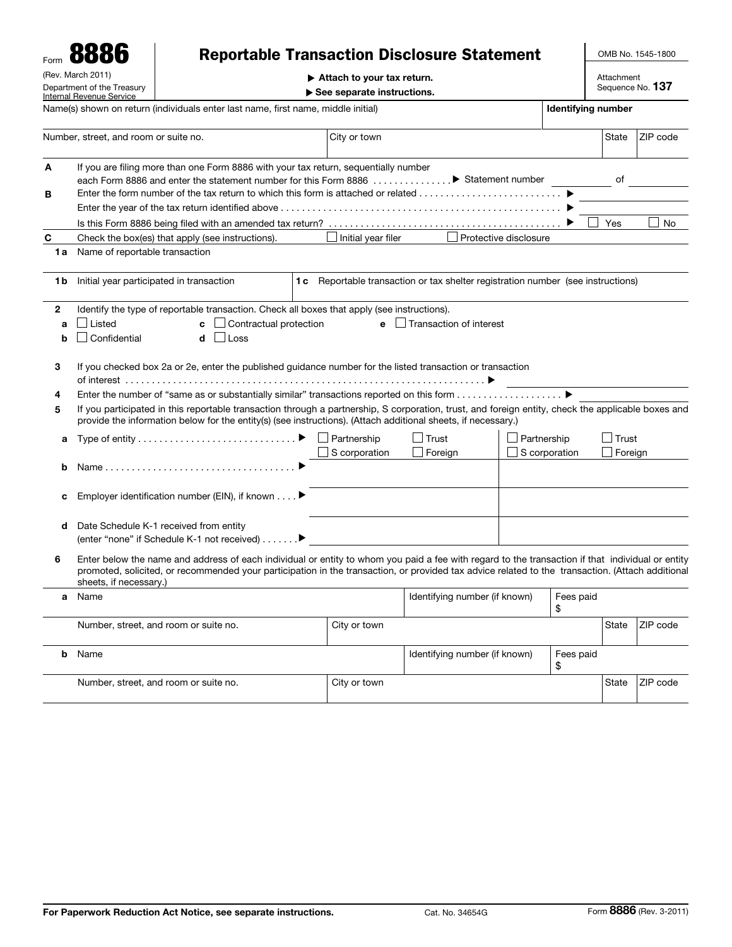| Form<br>(Rev. March 2011)<br>Department of the Treasury<br><b>Internal Revenue Service</b> |                                                                                                                                                                                                                                                                                                                                | <b>Reportable Transaction Disclosure Statement</b><br>Attach to your tax return.<br>See separate instructions. |  |                                     |                                                  |               |  | OMB No. 1545-1800<br>Attachment<br>Sequence No. 137 |          |  |  |
|--------------------------------------------------------------------------------------------|--------------------------------------------------------------------------------------------------------------------------------------------------------------------------------------------------------------------------------------------------------------------------------------------------------------------------------|----------------------------------------------------------------------------------------------------------------|--|-------------------------------------|--------------------------------------------------|---------------|--|-----------------------------------------------------|----------|--|--|
|                                                                                            |                                                                                                                                                                                                                                                                                                                                |                                                                                                                |  |                                     |                                                  |               |  |                                                     |          |  |  |
|                                                                                            | Number, street, and room or suite no.                                                                                                                                                                                                                                                                                          |                                                                                                                |  | City or town                        |                                                  |               |  | State                                               | ZIP code |  |  |
| A<br>в                                                                                     | If you are filing more than one Form 8886 with your tax return, sequentially number<br>of<br>each Form 8886 and enter the statement number for this Form 8886 > Statement number                                                                                                                                               |                                                                                                                |  |                                     |                                                  |               |  |                                                     |          |  |  |
|                                                                                            |                                                                                                                                                                                                                                                                                                                                |                                                                                                                |  |                                     |                                                  |               |  |                                                     |          |  |  |
|                                                                                            | Yes                                                                                                                                                                                                                                                                                                                            |                                                                                                                |  |                                     |                                                  |               |  |                                                     |          |  |  |
| C                                                                                          | No<br>Initial year filer<br>Protective disclosure<br>Check the box(es) that apply (see instructions).                                                                                                                                                                                                                          |                                                                                                                |  |                                     |                                                  |               |  |                                                     |          |  |  |
| 1a                                                                                         | Name of reportable transaction                                                                                                                                                                                                                                                                                                 |                                                                                                                |  |                                     |                                                  |               |  |                                                     |          |  |  |
| 1 b                                                                                        | Initial year participated in transaction<br>1c Reportable transaction or tax shelter registration number (see instructions)                                                                                                                                                                                                    |                                                                                                                |  |                                     |                                                  |               |  |                                                     |          |  |  |
| $\mathbf{2}$<br>a<br>b                                                                     | Identify the type of reportable transaction. Check all boxes that apply (see instructions).<br>Listed<br>Contractual protection<br>$\Box$ Transaction of interest<br>e<br>c<br>Confidential<br>Loss<br>d                                                                                                                       |                                                                                                                |  |                                     |                                                  |               |  |                                                     |          |  |  |
| 3                                                                                          | If you checked box 2a or 2e, enter the published guidance number for the listed transaction or transaction                                                                                                                                                                                                                     |                                                                                                                |  |                                     |                                                  |               |  |                                                     |          |  |  |
| 4                                                                                          | Enter the number of "same as or substantially similar" transactions reported on this form ▶<br>If you participated in this reportable transaction through a partnership, S corporation, trust, and foreign entity, check the applicable boxes and                                                                              |                                                                                                                |  |                                     |                                                  |               |  |                                                     |          |  |  |
| 5                                                                                          |                                                                                                                                                                                                                                                                                                                                | provide the information below for the entity(s) (see instructions). (Attach additional sheets, if necessary.)  |  |                                     |                                                  |               |  |                                                     |          |  |  |
| a                                                                                          |                                                                                                                                                                                                                                                                                                                                |                                                                                                                |  | $\Box$ Partnership                  | │ Trust                                          | Partnership   |  | <b>Trust</b>                                        |          |  |  |
| b                                                                                          |                                                                                                                                                                                                                                                                                                                                | Name                                                                                                           |  | S corporation                       | $\Box$ Foreign                                   | S corporation |  | $\Box$ Foreign                                      |          |  |  |
| с                                                                                          | Employer identification number (EIN), if known ▶                                                                                                                                                                                                                                                                               |                                                                                                                |  |                                     |                                                  |               |  |                                                     |          |  |  |
| d                                                                                          |                                                                                                                                                                                                                                                                                                                                | Date Schedule K-1 received from entity<br>(enter "none" if Schedule K-1 not received) ▶                        |  |                                     |                                                  |               |  |                                                     |          |  |  |
| 6                                                                                          | Enter below the name and address of each individual or entity to whom you paid a fee with regard to the transaction if that individual or entity<br>promoted, solicited, or recommended your participation in the transaction, or provided tax advice related to the transaction. (Attach additional<br>sheets, if necessary.) |                                                                                                                |  |                                     |                                                  |               |  |                                                     |          |  |  |
| a                                                                                          | Name                                                                                                                                                                                                                                                                                                                           |                                                                                                                |  |                                     | Identifying number (if known)<br>Fees paid<br>\$ |               |  |                                                     |          |  |  |
|                                                                                            |                                                                                                                                                                                                                                                                                                                                | Number, street, and room or suite no.                                                                          |  | City or town                        |                                                  |               |  | State                                               | ZIP code |  |  |
| b                                                                                          | Name                                                                                                                                                                                                                                                                                                                           |                                                                                                                |  | Identifying number (if known)<br>\$ |                                                  | Fees paid     |  |                                                     |          |  |  |
|                                                                                            |                                                                                                                                                                                                                                                                                                                                | Number, street, and room or suite no.                                                                          |  | City or town                        |                                                  |               |  | State                                               | ZIP code |  |  |